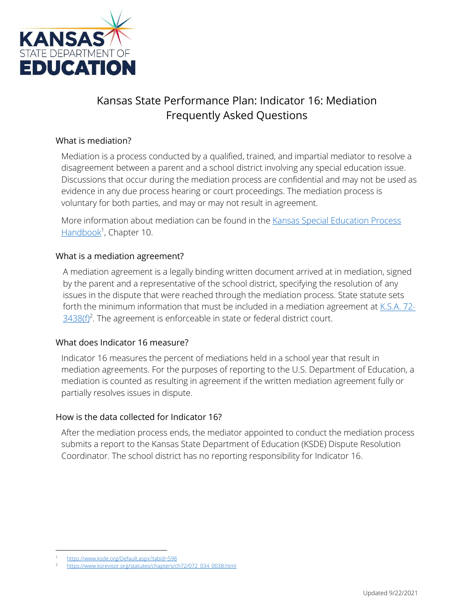

# Kansas State Performance Plan: Indicator 16: Mediation Frequently Asked Questions

### What is mediation?

Mediation is a process conducted by a qualified, trained, and impartial mediator to resolve a disagreement between a parent and a school district involving any special education issue. Discussions that occur during the mediation process are confidential and may not be used as evidence in any due process hearing or court proceedings. The mediation process is voluntary for both parties, and may or may not result in agreement.

More information about mediation can be found in the [Kansas Special Education Process](https://www.ksde.org/Agency/Division-of-Learning-Services/Special-Education-and-Title-Services/Special-Education/Legal-Special-Education-Law/Kansas-Special-Education-Process-Handbook)  [Handbook](https://www.ksde.org/Agency/Division-of-Learning-Services/Special-Education-and-Title-Services/Special-Education/Legal-Special-Education-Law/Kansas-Special-Education-Process-Handbook)<sup>1</sup>, Chapter 10.

### What is a mediation agreement?

A mediation agreement is a legally binding written document arrived at in mediation, signed by the parent and a representative of the school district, specifying the resolution of any issues in the dispute that were reached through the mediation process. State statute sets forth the minimum information that must be included in a mediation agreement at  $K.S.A. 72 3438(f)^2$  $3438(f)^2$ . The agreement is enforceable in state or federal district court.

#### What does Indicator 16 measure?

Indicator 16 measures the percent of mediations held in a school year that result in mediation agreements. For the purposes of reporting to the U.S. Department of Education, a mediation is counted as resulting in agreement if the written mediation agreement fully or partially resolves issues in dispute.

#### How is the data collected for Indicator 16?

After the mediation process ends, the mediator appointed to conduct the mediation process submits a report to the Kansas State Department of Education (KSDE) Dispute Resolution Coordinator. The school district has no reporting responsibility for Indicator 16.

 $\overline{a}$ <https://www.ksde.org/Default.aspx?tabid=598>

<sup>2</sup> [https://www.ksrevisor.org/statutes/chapters/ch72/072\\_034\\_0038.html](https://www.ksrevisor.org/statutes/chapters/ch72/072_034_0038.html)